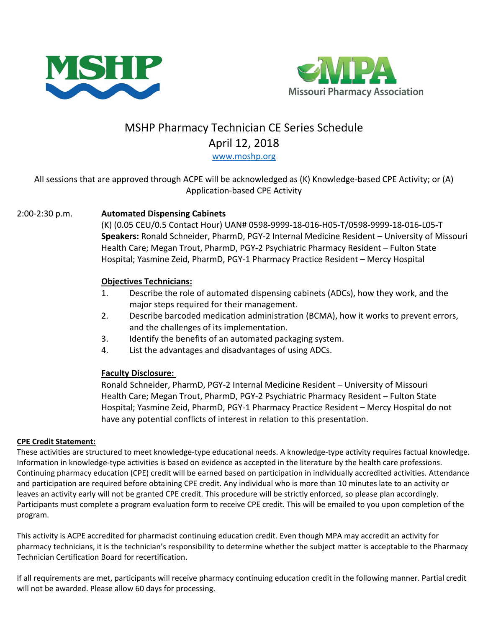



# MSHP Pharmacy Technician CE Series Schedule April 12, 2018 [www.moshp.org](http://www.moshp.org/)

## All sessions that are approved through ACPE will be acknowledged as (K) Knowledge-based CPE Activity; or (A) Application-based CPE Activity

## 2:00-2:30 p.m. **Automated Dispensing Cabinets**

(K) (0.05 CEU/0.5 Contact Hour) UAN# 0598-9999-18-016-H05-T/0598-9999-18-016-L05-T **Speakers:** Ronald Schneider, PharmD, PGY-2 Internal Medicine Resident – University of Missouri Health Care; Megan Trout, PharmD, PGY-2 Psychiatric Pharmacy Resident – Fulton State Hospital; Yasmine Zeid, PharmD, PGY-1 Pharmacy Practice Resident – Mercy Hospital

#### **Objectives Technicians:**

- 1. Describe the role of automated dispensing cabinets (ADCs), how they work, and the major steps required for their management.
- 2. Describe barcoded medication administration (BCMA), how it works to prevent errors, and the challenges of its implementation.
- 3. Identify the benefits of an automated packaging system.
- 4. List the advantages and disadvantages of using ADCs.

## **Faculty Disclosure:**

Ronald Schneider, PharmD, PGY-2 Internal Medicine Resident – University of Missouri Health Care; Megan Trout, PharmD, PGY-2 Psychiatric Pharmacy Resident – Fulton State Hospital; Yasmine Zeid, PharmD, PGY-1 Pharmacy Practice Resident – Mercy Hospital do not have any potential conflicts of interest in relation to this presentation.

#### **CPE Credit Statement:**

These activities are structured to meet knowledge-type educational needs. A knowledge-type activity requires factual knowledge. Information in knowledge-type activities is based on evidence as accepted in the literature by the health care professions. Continuing pharmacy education (CPE) credit will be earned based on participation in individually accredited activities. Attendance and participation are required before obtaining CPE credit. Any individual who is more than 10 minutes late to an activity or leaves an activity early will not be granted CPE credit. This procedure will be strictly enforced, so please plan accordingly. Participants must complete a program evaluation form to receive CPE credit. This will be emailed to you upon completion of the program.

This activity is ACPE accredited for pharmacist continuing education credit. Even though MPA may accredit an activity for pharmacy technicians, it is the technician's responsibility to determine whether the subject matter is acceptable to the Pharmacy Technician Certification Board for recertification.

If all requirements are met, participants will receive pharmacy continuing education credit in the following manner. Partial credit will not be awarded. Please allow 60 days for processing.